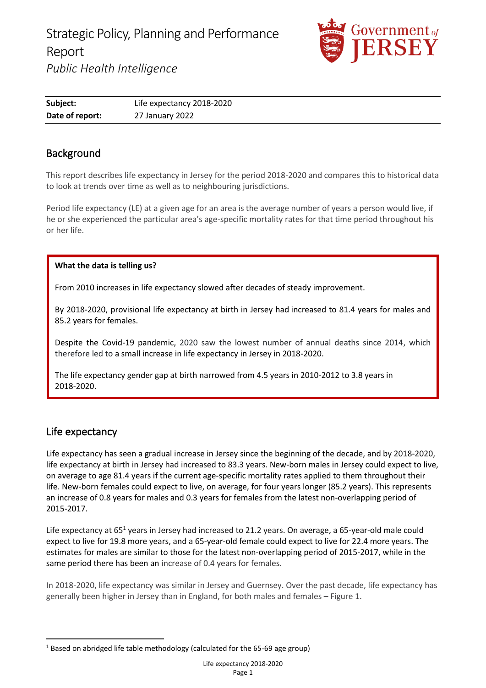

| Subject:        | Life expectancy 2018-2020 |
|-----------------|---------------------------|
| Date of report: | 27 January 2022           |

# Background

This report describes life expectancy in Jersey for the period 2018-2020 and compares this to historical data to look at trends over time as well as to neighbouring jurisdictions.

Period life expectancy (LE) at a given age for an area is the average number of years a person would live, if he or she experienced the particular area's age-specific mortality rates for that time period throughout his or her life.

#### **What the data is telling us?**

From 2010 increases in life expectancy slowed after decades of steady improvement.

By 2018-2020, provisional life expectancy at birth in Jersey had increased to 81.4 [years for males and](https://www.ons.gov.uk/peoplepopulationandcommunity/birthsdeathsandmarriages/lifeexpectancies/datasets/singleyearlifetablesuk1980to2018)  85.2 [years for females.](https://www.ons.gov.uk/peoplepopulationandcommunity/birthsdeathsandmarriages/lifeexpectancies/datasets/singleyearlifetablesuk1980to2018)

Despite the Covid-19 pandemic, 2020 saw the lowest number of annual deaths since 2014, which therefore led to a small increase in life expectancy in Jersey in 2018-2020.

The life expectancy gender gap at birth narrowed from 4.5 years in 2010-2012 to 3.8 years in 2018-2020.

## Life expectancy

Life expectancy has seen a gradual increase in Jersey since the beginning of the decade, and by 2018-2020, life expectancy at birth in Jersey had increased to 83.3 years. New-born males in Jersey could expect to live, on average to age 81.4 years if the current age-specific mortality rates applied to them throughout their life. New-born females could expect to live, on average, for four years longer (85.2 years). This represents an increase of 0.8 years for males and 0.3 years for females from the latest non-overlapping period of 2015-2017.

Life expectancy at 65<sup>1</sup> years in Jersey had increased to 21.2 years. On average, a 65-year-old male could expect to live for 19.8 more years, and a 65-year-old female could expect to live for 22.4 more years. The estimates for males are similar to those for the latest non-overlapping period of 2015-2017, while in the same period there has been an increase of 0.4 years for females.

In 2018-2020, life expectancy was similar in Jersey and Guernsey. Over the past decade, life expectancy has generally been higher in Jersey than in England, for both males and females – Figure 1.

<sup>&</sup>lt;sup>1</sup> Based on abridged life table methodology (calculated for the 65-69 age group)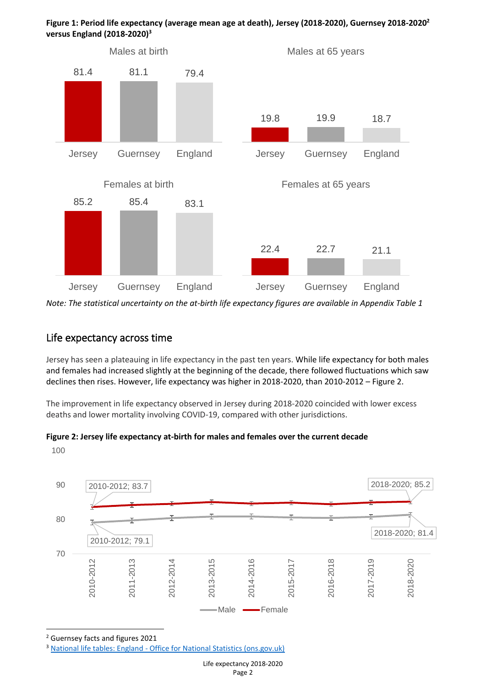

**Figure 1: Period life expectancy (average mean age at death), Jersey (2018-2020), Guernsey 2018-2020<sup>2</sup> versus England (2018-2020) 3**

*Note: The statistical uncertainty on the at-birth life expectancy figures are available in Appendix Table 1*

#### Life expectancy across time

Jersey has seen a plateauing in life expectancy in the past ten years. While life expectancy for both males and females had increased slightly at the beginning of the decade, there followed fluctuations which saw declines then rises. However, life expectancy was higher in 2018-2020, than 2010-2012 – Figure 2.

The improvement in life expectancy observed in Jersey during 2018-2020 coincided with lower excess deaths and lower mortality involving COVID-19, compared with other jurisdictions.

#### **Figure 2: Jersey life expectancy at-birth for males and females over the current decade**

100



<sup>2</sup> Guernsey facts and figures 2021

<sup>&</sup>lt;sup>3</sup> National life tables: England - [Office for National Statistics \(ons.gov.uk\)](https://www.ons.gov.uk/peoplepopulationandcommunity/birthsdeathsandmarriages/lifeexpectancies/datasets/nationallifetablesenglandreferencetables)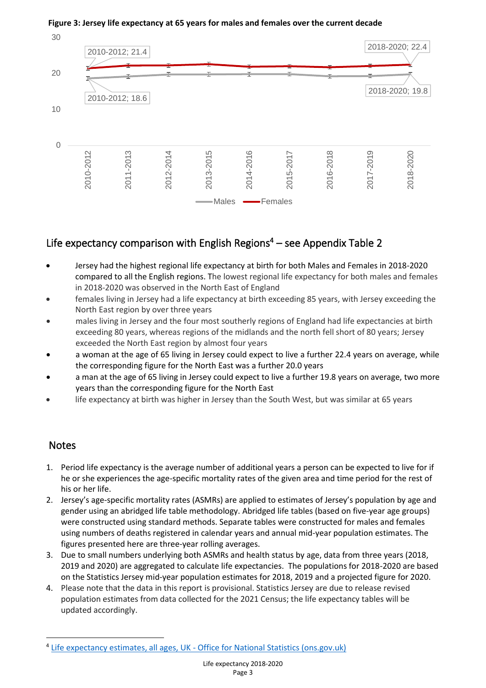

#### **Figure 3: Jersey life expectancy at 65 years for males and females over the current decade**

# Life expectancy comparison with English Regions $4 -$  see Appendix Table 2

- Jersey had the highest regional life expectancy at birth for both Males and Females in 2018-2020 compared to all the English regions. The lowest regional life expectancy for both males and females in 2018-2020 was observed in the North East of England
- females living in Jersey had a life expectancy at birth exceeding 85 years, with Jersey exceeding the North East region by over three years
- males living in Jersey and the four most southerly regions of England had life expectancies at birth exceeding 80 years, whereas regions of the midlands and the north fell short of 80 years; Jersey exceeded the North East region by almost four years
- a woman at the age of 65 living in Jersey could expect to live a further 22.4 years on average, while the corresponding figure for the North East was a further 20.0 years
- a man at the age of 65 living in Jersey could expect to live a further 19.8 years on average, two more years than the corresponding figure for the North East
- life expectancy at birth was higher in Jersey than the South West, but was similar at 65 years

## Notes

- 1. Period life expectancy is the average number of additional years a person can be expected to live for if he or she experiences the age-specific mortality rates of the given area and time period for the rest of his or her life.
- 2. Jersey's age-specific mortality rates (ASMRs) are applied to estimates of Jersey's population by age and gender using an abridged life table methodology. Abridged life tables (based on five-year age groups) were constructed using standard methods. Separate tables were constructed for males and females using numbers of deaths registered in calendar years and annual mid-year population estimates. The figures presented here are three-year rolling averages.
- 3. Due to small numbers underlying both ASMRs and health status by age, data from three years (2018, 2019 and 2020) are aggregated to calculate life expectancies. The populations for 2018-2020 are based on the Statistics Jersey mid-year population estimates for 2018, 2019 and a projected figure for 2020.
- 4. Please note that the data in this report is provisional. Statistics Jersey are due to release revised population estimates from data collected for the 2021 Census; the life expectancy tables will be updated accordingly.

<sup>&</sup>lt;sup>4</sup> Life expectancy estimates, all ages, UK - [Office for National Statistics \(ons.gov.uk\)](https://www.ons.gov.uk/peoplepopulationandcommunity/healthandsocialcare/healthandlifeexpectancies/datasets/lifeexpectancyestimatesallagesuk)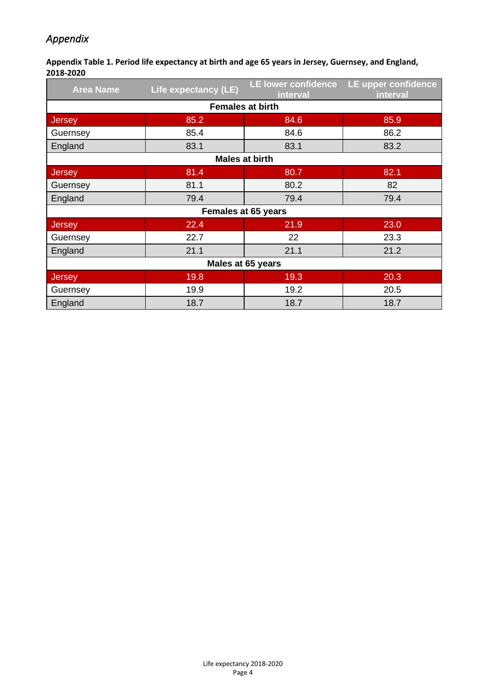# *Appendix*

**Appendix Table 1. Period life expectancy at birth and age 65 years in Jersey, Guernsey, and England, 2018-2020**

| <b>Area Name</b>           | Life expectancy (LE) | LE lower confidence<br>interval | LE upper confidence<br>interval |  |  |
|----------------------------|----------------------|---------------------------------|---------------------------------|--|--|
| <b>Females at birth</b>    |                      |                                 |                                 |  |  |
| <b>Jersey</b>              | 85.2                 | 84.6                            | 85.9                            |  |  |
| Guernsey                   | 85.4                 | 84.6                            | 86.2                            |  |  |
| England                    | 83.1                 | 83.1                            | 83.2                            |  |  |
| <b>Males at birth</b>      |                      |                                 |                                 |  |  |
| <b>Jersey</b>              | 81.4                 | 80.7                            | 82.1                            |  |  |
| Guernsey                   | 81.1                 | 80.2                            | 82                              |  |  |
| England                    | 79.4                 | 79.4                            | 79.4                            |  |  |
| <b>Females at 65 years</b> |                      |                                 |                                 |  |  |
| Jersey                     | 22.4                 | 21.9                            | 23.0                            |  |  |
| Guernsey                   | 22.7                 | 22                              | 23.3                            |  |  |
| England                    | 21.1                 | 21.1                            | 21.2                            |  |  |
| Males at 65 years          |                      |                                 |                                 |  |  |
| Jersey                     | 19.8                 | 19.3                            | 20.3                            |  |  |
| Guernsey                   | 19.9                 | 19.2                            | 20.5                            |  |  |
| England                    | 18.7                 | 18.7                            | 18.7                            |  |  |